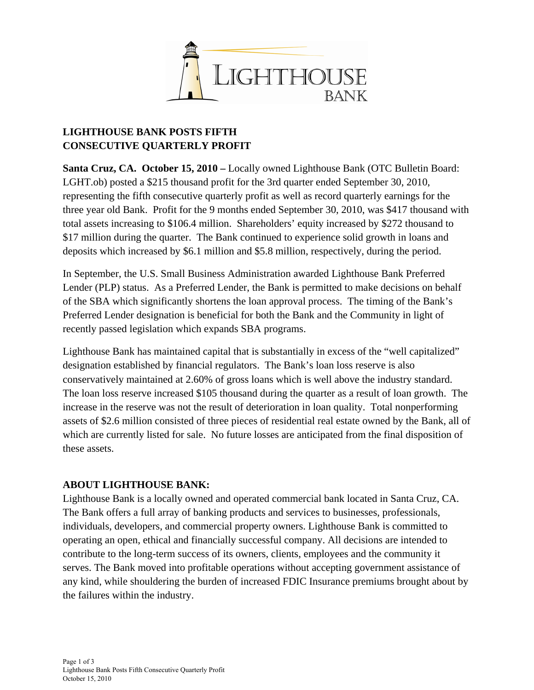

## **LIGHTHOUSE BANK POSTS FIFTH CONSECUTIVE QUARTERLY PROFIT**

**Santa Cruz, CA. October 15, 2010 –** Locally owned Lighthouse Bank (OTC Bulletin Board: LGHT.ob) posted a \$215 thousand profit for the 3rd quarter ended September 30, 2010, representing the fifth consecutive quarterly profit as well as record quarterly earnings for the three year old Bank. Profit for the 9 months ended September 30, 2010, was \$417 thousand with total assets increasing to \$106.4 million. Shareholders' equity increased by \$272 thousand to \$17 million during the quarter. The Bank continued to experience solid growth in loans and deposits which increased by \$6.1 million and \$5.8 million, respectively, during the period.

In September, the U.S. Small Business Administration awarded Lighthouse Bank Preferred Lender (PLP) status. As a Preferred Lender, the Bank is permitted to make decisions on behalf of the SBA which significantly shortens the loan approval process. The timing of the Bank's Preferred Lender designation is beneficial for both the Bank and the Community in light of recently passed legislation which expands SBA programs.

Lighthouse Bank has maintained capital that is substantially in excess of the "well capitalized" designation established by financial regulators. The Bank's loan loss reserve is also conservatively maintained at 2.60% of gross loans which is well above the industry standard. The loan loss reserve increased \$105 thousand during the quarter as a result of loan growth. The increase in the reserve was not the result of deterioration in loan quality. Total nonperforming assets of \$2.6 million consisted of three pieces of residential real estate owned by the Bank, all of which are currently listed for sale. No future losses are anticipated from the final disposition of these assets.

## **ABOUT LIGHTHOUSE BANK:**

Lighthouse Bank is a locally owned and operated commercial bank located in Santa Cruz, CA. The Bank offers a full array of banking products and services to businesses, professionals, individuals, developers, and commercial property owners. Lighthouse Bank is committed to operating an open, ethical and financially successful company. All decisions are intended to contribute to the long-term success of its owners, clients, employees and the community it serves. The Bank moved into profitable operations without accepting government assistance of any kind, while shouldering the burden of increased FDIC Insurance premiums brought about by the failures within the industry.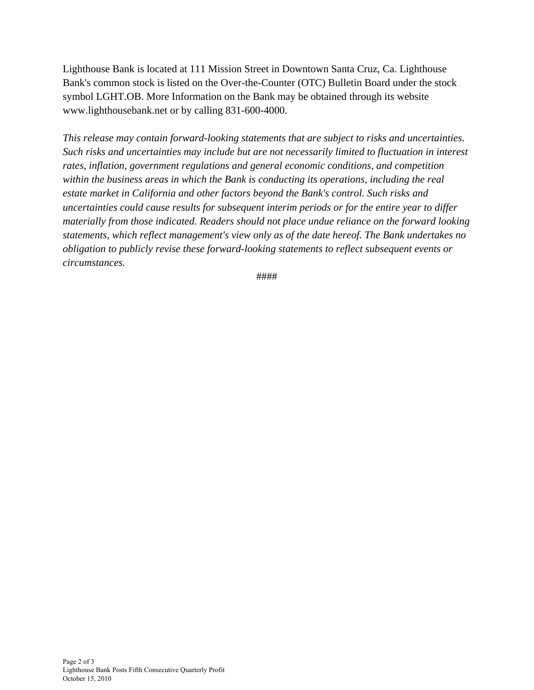Lighthouse Bank is located at 111 Mission Street in Downtown Santa Cruz, Ca. Lighthouse Bank's common stock is listed on the Over-the-Counter (OTC) Bulletin Board under the stock symbol LGHT.OB. More Information on the Bank may be obtained through its website www.lighthousebank.net or by calling 831-600-4000.

*This release may contain forward-looking statements that are subject to risks and uncertainties. Such risks and uncertainties may include but are not necessarily limited to fluctuation in interest rates, inflation, government regulations and general economic conditions, and competition within the business areas in which the Bank is conducting its operations, including the real estate market in California and other factors beyond the Bank's control. Such risks and uncertainties could cause results for subsequent interim periods or for the entire year to differ materially from those indicated. Readers should not place undue reliance on the forward looking statements, which reflect management's view only as of the date hereof. The Bank undertakes no obligation to publicly revise these forward-looking statements to reflect subsequent events or circumstances.*

####